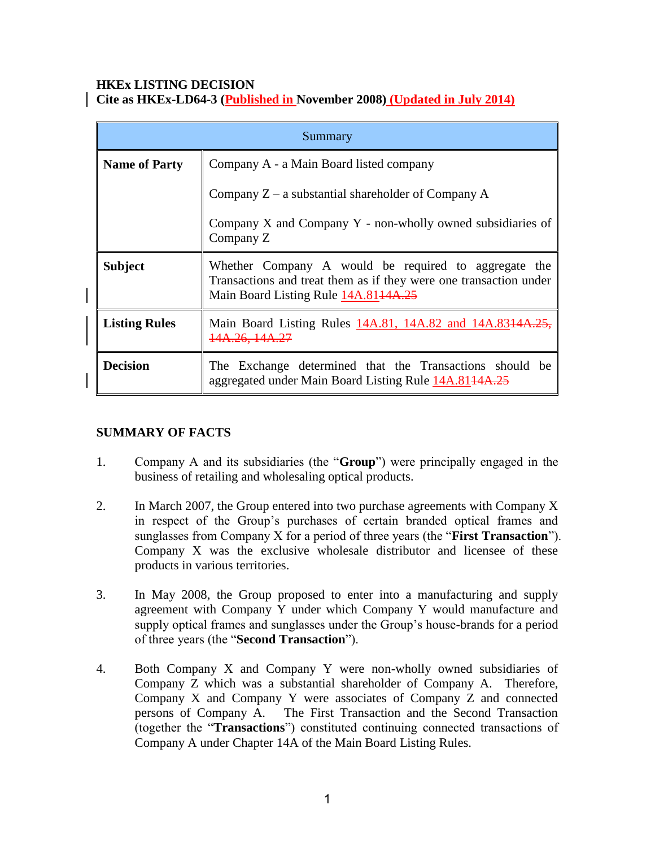### **HKEx LISTING DECISION Cite as HKEx-LD64-3 (Published in November 2008) (Updated in July 2014)**

| Summary              |                                                                                                                                                                   |
|----------------------|-------------------------------------------------------------------------------------------------------------------------------------------------------------------|
| <b>Name of Party</b> | Company A - a Main Board listed company                                                                                                                           |
|                      | Company $Z - a$ substantial shareholder of Company A                                                                                                              |
|                      | Company $X$ and Company $Y$ - non-wholly owned subsidiaries of<br>Company Z                                                                                       |
| <b>Subject</b>       | Whether Company A would be required to aggregate the<br>Transactions and treat them as if they were one transaction under<br>Main Board Listing Rule 14A.8144A.25 |
| <b>Listing Rules</b> | Main Board Listing Rules 14A.81, 14A.82 and 14A.8314A.25,<br>14A.26, 14A.27                                                                                       |
| <b>Decision</b>      | The Exchange determined that the Transactions should be<br>aggregated under Main Board Listing Rule 14A.8144A.25                                                  |

# **SUMMARY OF FACTS**

- 1. Company A and its subsidiaries (the "**Group**") were principally engaged in the business of retailing and wholesaling optical products.
- 2. In March 2007, the Group entered into two purchase agreements with Company X in respect of the Group's purchases of certain branded optical frames and sunglasses from Company X for a period of three years (the "**First Transaction**"). Company X was the exclusive wholesale distributor and licensee of these products in various territories.
- 3. In May 2008, the Group proposed to enter into a manufacturing and supply agreement with Company Y under which Company Y would manufacture and supply optical frames and sunglasses under the Group's house-brands for a period of three years (the "**Second Transaction**").
- 4. Both Company X and Company Y were non-wholly owned subsidiaries of Company Z which was a substantial shareholder of Company A. Therefore, Company X and Company Y were associates of Company Z and connected persons of Company A. The First Transaction and the Second Transaction (together the "**Transactions**") constituted continuing connected transactions of Company A under Chapter 14A of the Main Board Listing Rules.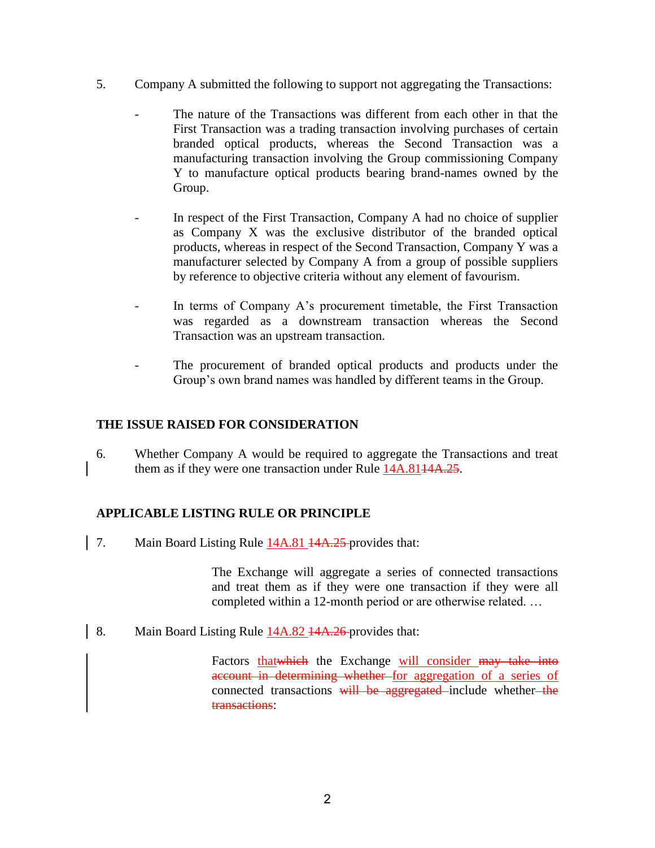- 5. Company A submitted the following to support not aggregating the Transactions:
	- The nature of the Transactions was different from each other in that the First Transaction was a trading transaction involving purchases of certain branded optical products, whereas the Second Transaction was a manufacturing transaction involving the Group commissioning Company Y to manufacture optical products bearing brand-names owned by the Group.
	- In respect of the First Transaction, Company A had no choice of supplier as Company X was the exclusive distributor of the branded optical products, whereas in respect of the Second Transaction, Company Y was a manufacturer selected by Company A from a group of possible suppliers by reference to objective criteria without any element of favourism.
	- In terms of Company A's procurement timetable, the First Transaction was regarded as a downstream transaction whereas the Second Transaction was an upstream transaction.
	- The procurement of branded optical products and products under the Group's own brand names was handled by different teams in the Group.

### **THE ISSUE RAISED FOR CONSIDERATION**

6. Whether Company A would be required to aggregate the Transactions and treat them as if they were one transaction under Rule 14A.8144A.25.

# **APPLICABLE LISTING RULE OR PRINCIPLE**

7. Main Board Listing Rule 14A.81 14A.25 provides that:

The Exchange will aggregate a series of connected transactions and treat them as if they were one transaction if they were all completed within a 12-month period or are otherwise related. …

8. Main Board Listing Rule 14A.82 14A.26-provides that:

Factors that which the Exchange will consider may take into account in determining whether for aggregation of a series of connected transactions will be aggregated include whether-the transactions: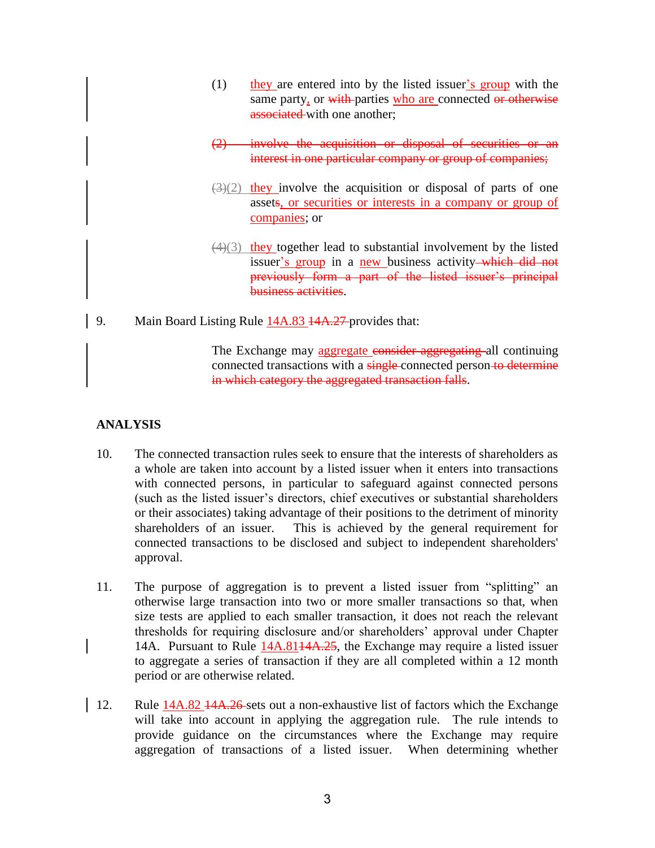- (1) they are entered into by the listed issuer's group with the same party, or with parties who are connected or otherwise associated with one another:
- (2) involve the acquisition or disposal of securities or an interest in one particular company or group of companies;
- $(3)(2)$  they involve the acquisition or disposal of parts of one assets, or securities or interests in a company or group of companies; or
- $(4)(3)$  they together lead to substantial involvement by the listed issuer's group in a new business activity—which did not previously form a part of the listed issuer's principal business activities.
- 9. Main Board Listing Rule  $14A.83$   $14A.27$  provides that:

The Exchange may aggregate consider aggregating all continuing connected transactions with a single-connected person to determine in which category the aggregated transaction falls.

# **ANALYSIS**

- 10. The connected transaction rules seek to ensure that the interests of shareholders as a whole are taken into account by a listed issuer when it enters into transactions with connected persons, in particular to safeguard against connected persons (such as the listed issuer's directors, chief executives or substantial shareholders or their associates) taking advantage of their positions to the detriment of minority shareholders of an issuer. This is achieved by the general requirement for connected transactions to be disclosed and subject to independent shareholders' approval.
- 11. The purpose of aggregation is to prevent a listed issuer from "splitting" an otherwise large transaction into two or more smaller transactions so that, when size tests are applied to each smaller transaction, it does not reach the relevant thresholds for requiring disclosure and/or shareholders' approval under Chapter 14A. Pursuant to Rule 14A.8114A.25, the Exchange may require a listed issuer to aggregate a series of transaction if they are all completed within a 12 month period or are otherwise related.
- 12. Rule 14A.82 14A.26 sets out a non-exhaustive list of factors which the Exchange will take into account in applying the aggregation rule. The rule intends to provide guidance on the circumstances where the Exchange may require aggregation of transactions of a listed issuer. When determining whether